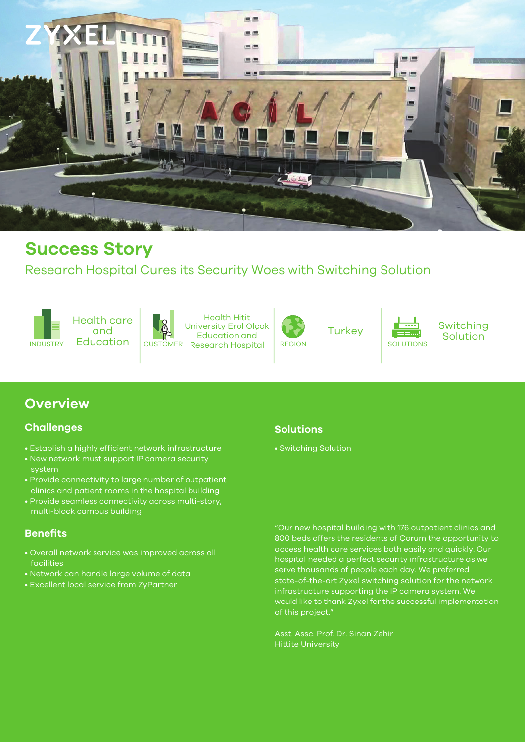

## **Success Story**

and

### Research Hospital Cures its Security Woes with Switching Solution

INDUSTRY



Health Hitit University Erol Olçok Education and CUSTOMER Research Hospital REGION SOLUTIONS



**Turkey** 



Switching **Solution** 

### **Overview**

### **Challenges**

- Establish a highly efficient network infrastructure
- New network must support IP camera security system
- Provide connectivity to large number of outpatient clinics and patient rooms in the hospital building
- Provide seamless connectivity across multi-story, multi-block campus building

### **Benefits**

- Overall network service was improved across all facilities
- Network can handle large volume of data
- Excellent local service from ZyPartner

### **Solutions**

• Switching Solution

"Our new hospital building with 176 outpatient clinics and 800 beds offers the residents of Çorum the opportunity to access health care services both easily and quickly. Our hospital needed a perfect security infrastructure as we serve thousands of people each day. We preferred state-of-the-art Zyxel switching solution for the network infrastructure supporting the IP camera system. We would like to thank Zyxel for the successful implementation of this project."

Asst. Assc. Prof. Dr. Sinan Zehir Hittite University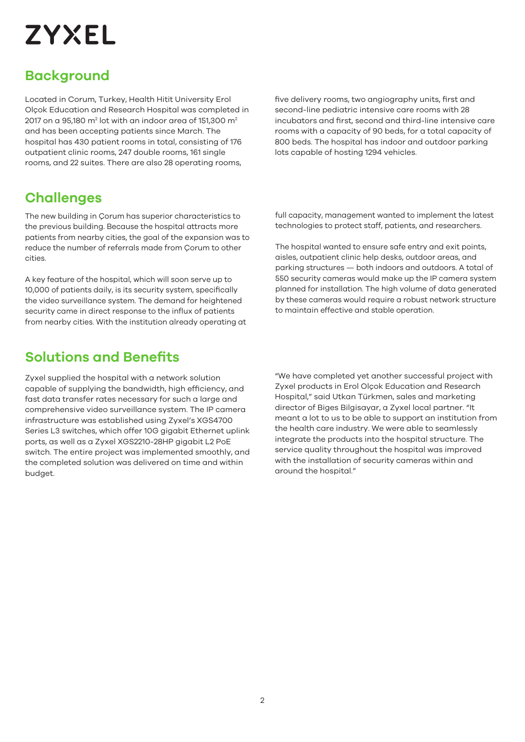# **ZYXEL**

### **Background**

Located in Corum, Turkey, Health Hitit University Erol Olçok Education and Research Hospital was completed in 2017 on a 95,180 m $^2$  lot with an indoor area of 151,300 m $^2$ and has been accepting patients since March. The hospital has 430 patient rooms in total, consisting of 176 outpatient clinic rooms, 247 double rooms, 161 single rooms, and 22 suites. There are also 28 operating rooms,

### **Challenges**

The new building in Çorum has superior characteristics to the previous building. Because the hospital attracts more patients from nearby cities, the goal of the expansion was to reduce the number of referrals made from Çorum to other cities.

A key feature of the hospital, which will soon serve up to 10,000 of patients daily, is its security system, specifically the video surveillance system. The demand for heightened security came in direct response to the influx of patients from nearby cities. With the institution already operating at five delivery rooms, two angiography units, first and second-line pediatric intensive care rooms with 28 incubators and first, second and third-line intensive care rooms with a capacity of 90 beds, for a total capacity of 800 beds. The hospital has indoor and outdoor parking lots capable of hosting 1294 vehicles.

full capacity, management wanted to implement the latest technologies to protect staff, patients, and researchers.

The hospital wanted to ensure safe entry and exit points, aisles, outpatient clinic help desks, outdoor areas, and parking structures — both indoors and outdoors. A total of 550 security cameras would make up the IP camera system planned for installation. The high volume of data generated by these cameras would require a robust network structure to maintain effective and stable operation.

### **Solutions and Benefits**

Zyxel supplied the hospital with a network solution capable of supplying the bandwidth, high efficiency, and fast data transfer rates necessary for such a large and comprehensive video surveillance system. The IP camera infrastructure was established using Zyxel's XGS4700 Series L3 switches, which offer 10G gigabit Ethernet uplink ports, as well as a Zyxel XGS2210-28HP gigabit L2 PoE switch. The entire project was implemented smoothly, and the completed solution was delivered on time and within budget.

"We have completed yet another successful project with Zyxel products in Erol Olçok Education and Research Hospital," said Utkan Türkmen, sales and marketing director of Biges Bilgisayar, a Zyxel local partner. "It meant a lot to us to be able to support an institution from the health care industry. We were able to seamlessly integrate the products into the hospital structure. The service quality throughout the hospital was improved with the installation of security cameras within and around the hospital."